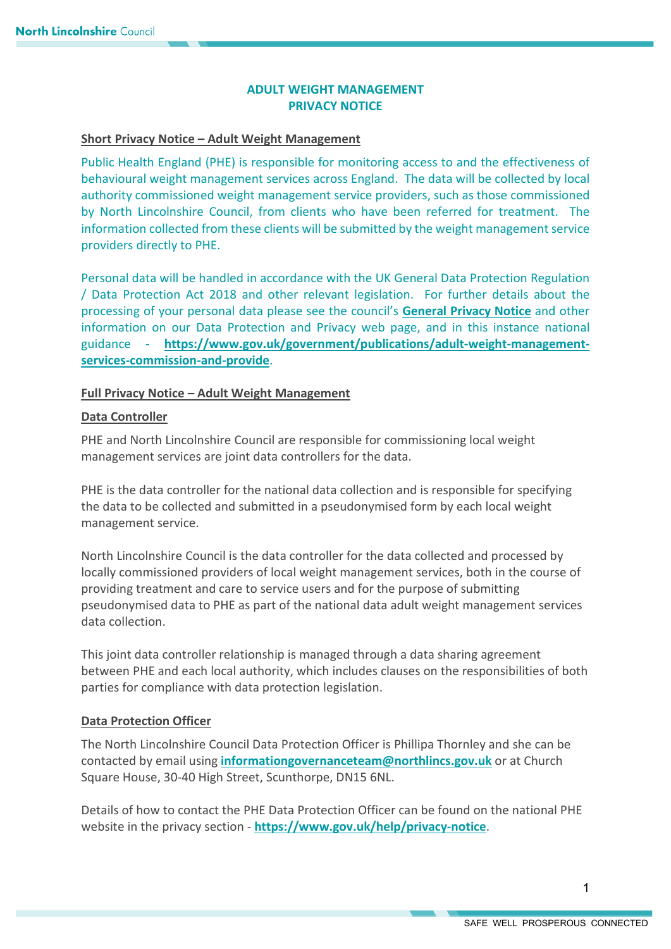# **ADULT WEIGHT MANAGEMENT PRIVACY NOTICE**

## **Short Privacy Notice – Adult Weight Management**

Public Health England (PHE) is responsible for monitoring access to and the effectiveness of behavioural weight management services across England. The data will be collected by local authority commissioned weight management service providers, such as those commissioned by North Lincolnshire Council, from clients who have been referred for treatment. The information collected from these clients will be submitted by the weight management service providers directly to PHE.

Personal data will be handled in accordance with the UK General Data Protection Regulation / Data Protection Act 2018 and other relevant legislation. For further details about the processing of your personal data please see the council's **[General Privacy Notice](https://www.northlincs.gov.uk/your-council/about-your-council/information-and-performance/information-governance/data-protection-and-privacy/)** and other information on our Data Protection and Privacy web page, and in this instance national guidance - **[https://www.gov.uk/government/publications/adult-weight-management](https://www.gov.uk/government/publications/adult-weight-management-services-commission-and-provide)[services-commission-and-provide](https://www.gov.uk/government/publications/adult-weight-management-services-commission-and-provide)**.

# **Full Privacy Notice – Adult Weight Management**

### **Data Controller**

PHE and North Lincolnshire Council are responsible for commissioning local weight management services are joint data controllers for the data.

PHE is the data controller for the national data collection and is responsible for specifying the data to be collected and submitted in a pseudonymised form by each local weight management service.

North Lincolnshire Council is the data controller for the data collected and processed by locally commissioned providers of local weight management services, both in the course of providing treatment and care to service users and for the purpose of submitting pseudonymised data to PHE as part of the national data adult weight management services data collection.

This joint data controller relationship is managed through a data sharing agreement between PHE and each local authority, which includes clauses on the responsibilities of both parties for compliance with data protection legislation.

# **Data Protection Officer**

The North Lincolnshire Council Data Protection Officer is Phillipa Thornley and she can be contacted by email using **[informationgovernanceteam@northlincs.gov.uk](mailto:informationgovernanceteam@northlincs.gov.uk)** or at Church Square House, 30-40 High Street, Scunthorpe, DN15 6NL.

Details of how to contact the PHE Data Protection Officer can be found on the national PHE website in the privacy section - **<https://www.gov.uk/help/privacy-notice>**.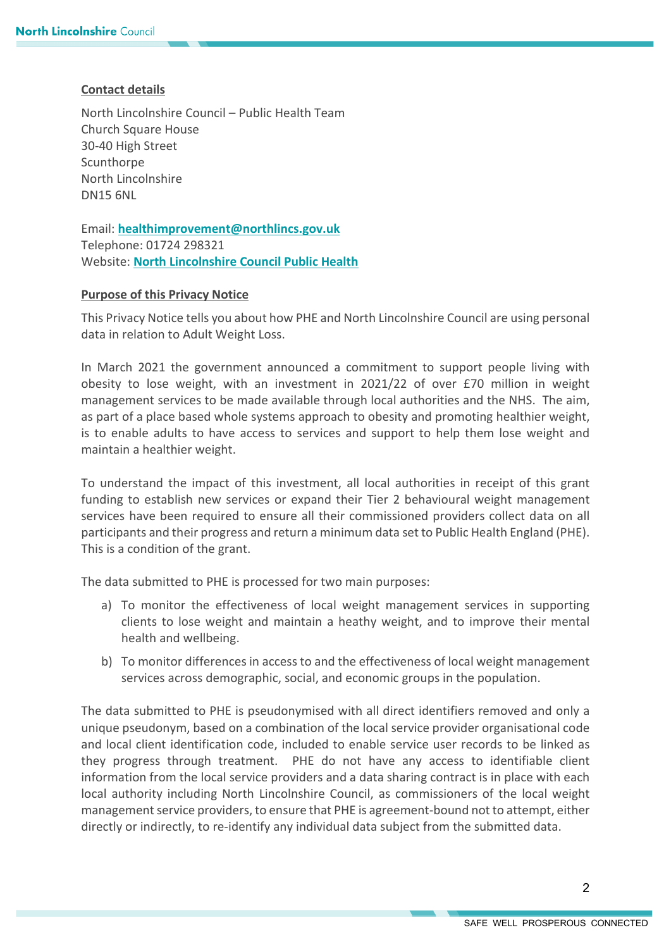# **Contact details**

North Lincolnshire Council – Public Health Team Church Square House 30-40 High Street **Scunthorpe** North Lincolnshire DN15 6NL

Email: **[healthimprovement@northlincs.gov.uk](mailto:healthimprovement@northlincs.gov.uk)** Telephone: 01724 298321 Website: **[North Lincolnshire Council](https://www.northlincs.gov.uk/people-health-and-care/public-health-in-north-lincolnshire/) Public Health**

# **Purpose of this Privacy Notice**

This Privacy Notice tells you about how PHE and North Lincolnshire Council are using personal data in relation to Adult Weight Loss.

In March 2021 the government announced a commitment to support people living with obesity to lose weight, with an investment in 2021/22 of over £70 million in weight management services to be made available through local authorities and the NHS. The aim, as part of a place based whole systems approach to obesity and promoting healthier weight, is to enable adults to have access to services and support to help them lose weight and maintain a healthier weight.

To understand the impact of this investment, all local authorities in receipt of this grant funding to establish new services or expand their Tier 2 behavioural weight management services have been required to ensure all their commissioned providers collect data on all participants and their progress and return a minimum data set to Public Health England (PHE). This is a condition of the grant.

The data submitted to PHE is processed for two main purposes:

- a) To monitor the effectiveness of local weight management services in supporting clients to lose weight and maintain a heathy weight, and to improve their mental health and wellbeing.
- b) To monitor differences in access to and the effectiveness of local weight management services across demographic, social, and economic groups in the population.

The data submitted to PHE is pseudonymised with all direct identifiers removed and only a unique pseudonym, based on a combination of the local service provider organisational code and local client identification code, included to enable service user records to be linked as they progress through treatment. PHE do not have any access to identifiable client information from the local service providers and a data sharing contract is in place with each local authority including North Lincolnshire Council, as commissioners of the local weight management service providers, to ensure that PHE is agreement-bound not to attempt, either directly or indirectly, to re-identify any individual data subject from the submitted data.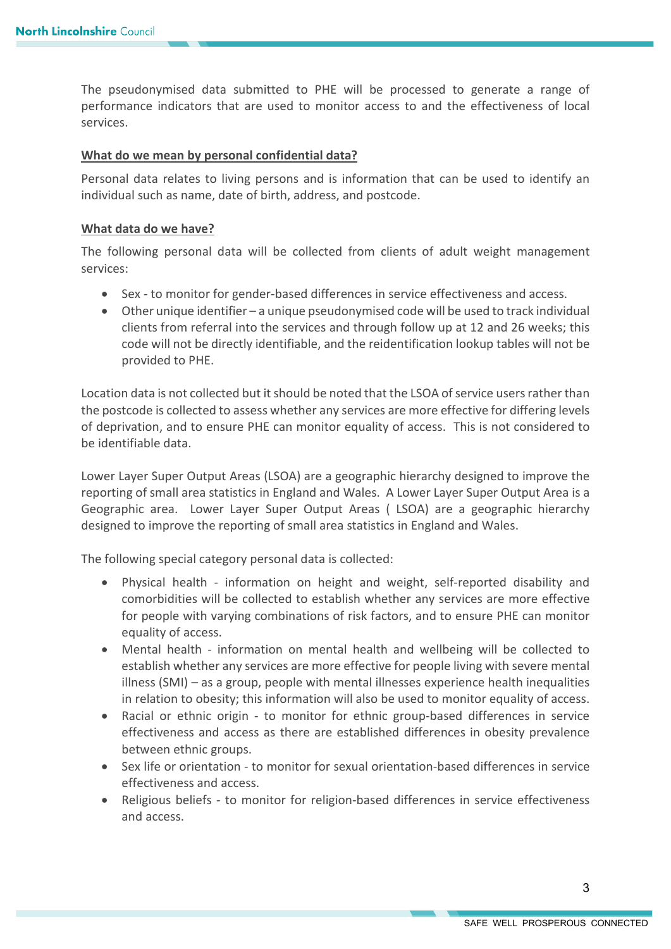The pseudonymised data submitted to PHE will be processed to generate a range of performance indicators that are used to monitor access to and the effectiveness of local services.

## **What do we mean by personal confidential data?**

Personal data relates to living persons and is information that can be used to identify an individual such as name, date of birth, address, and postcode.

#### **What data do we have?**

The following personal data will be collected from clients of adult weight management services:

- Sex to monitor for gender-based differences in service effectiveness and access.
- Other unique identifier a unique pseudonymised code will be used to track individual clients from referral into the services and through follow up at 12 and 26 weeks; this code will not be directly identifiable, and the reidentification lookup tables will not be provided to PHE.

Location data is not collected but it should be noted that the LSOA of service usersrather than the postcode is collected to assess whether any services are more effective for differing levels of deprivation, and to ensure PHE can monitor equality of access. This is not considered to be identifiable data.

Lower Layer Super Output Areas (LSOA) are a geographic hierarchy designed to improve the reporting of small area statistics in England and Wales. A Lower Layer Super Output Area is a Geographic area. Lower Layer Super Output Areas ( LSOA) are a geographic hierarchy designed to improve the reporting of small area statistics in England and Wales.

The following special category personal data is collected:

- Physical health information on height and weight, self-reported disability and comorbidities will be collected to establish whether any services are more effective for people with varying combinations of risk factors, and to ensure PHE can monitor equality of access.
- Mental health information on mental health and wellbeing will be collected to establish whether any services are more effective for people living with severe mental illness (SMI) – as a group, people with mental illnesses experience health inequalities in relation to obesity; this information will also be used to monitor equality of access.
- Racial or ethnic origin to monitor for ethnic group-based differences in service effectiveness and access as there are established differences in obesity prevalence between ethnic groups.
- Sex life or orientation to monitor for sexual orientation-based differences in service effectiveness and access.
- Religious beliefs to monitor for religion-based differences in service effectiveness and access.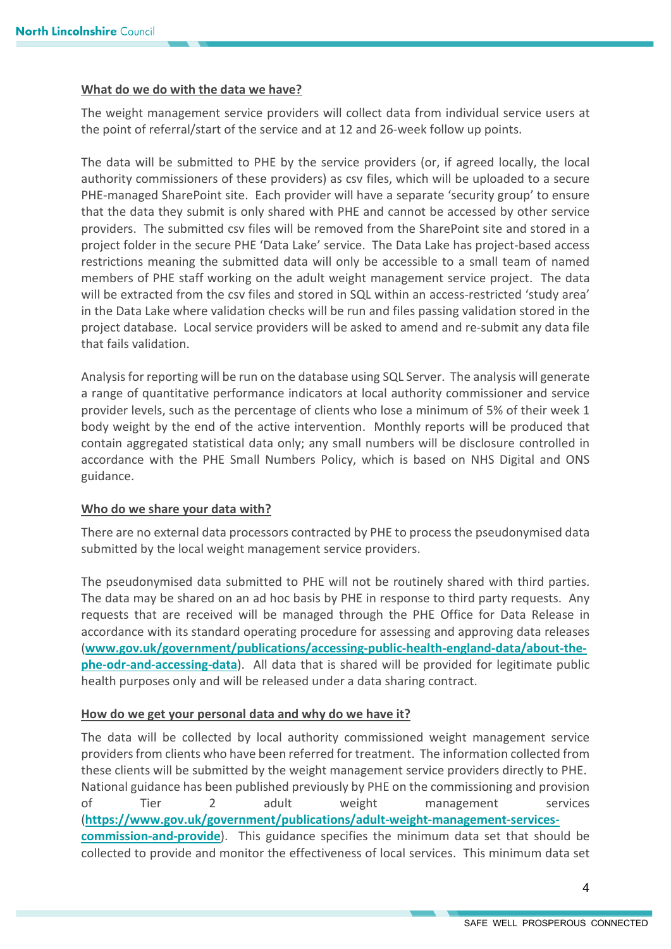#### **What do we do with the data we have?**

The weight management service providers will collect data from individual service users at the point of referral/start of the service and at 12 and 26-week follow up points.

The data will be submitted to PHE by the service providers (or, if agreed locally, the local authority commissioners of these providers) as csv files, which will be uploaded to a secure PHE-managed SharePoint site. Each provider will have a separate 'security group' to ensure that the data they submit is only shared with PHE and cannot be accessed by other service providers. The submitted csv files will be removed from the SharePoint site and stored in a project folder in the secure PHE 'Data Lake' service. The Data Lake has project-based access restrictions meaning the submitted data will only be accessible to a small team of named members of PHE staff working on the adult weight management service project. The data will be extracted from the csv files and stored in SQL within an access-restricted 'study area' in the Data Lake where validation checks will be run and files passing validation stored in the project database. Local service providers will be asked to amend and re-submit any data file that fails validation.

Analysis for reporting will be run on the database using SQL Server. The analysis will generate a range of quantitative performance indicators at local authority commissioner and service provider levels, such as the percentage of clients who lose a minimum of 5% of their week 1 body weight by the end of the active intervention. Monthly reports will be produced that contain aggregated statistical data only; any small numbers will be disclosure controlled in accordance with the PHE Small Numbers Policy, which is based on NHS Digital and ONS guidance.

#### **Who do we share your data with?**

There are no external data processors contracted by PHE to process the pseudonymised data submitted by the local weight management service providers.

The pseudonymised data submitted to PHE will not be routinely shared with third parties. The data may be shared on an ad hoc basis by PHE in response to third party requests. Any requests that are received will be managed through the PHE Office for Data Release in accordance with its standard operating procedure for assessing and approving data releases (**[www.gov.uk/government/publications/accessing-public-health-england-data/about-the](http://www.gov.uk/government/publications/accessing-public-health-england-data/about-the-phe-odr-and-accessing-data)[phe-odr-and-accessing-data](http://www.gov.uk/government/publications/accessing-public-health-england-data/about-the-phe-odr-and-accessing-data)**). All data that is shared will be provided for legitimate public health purposes only and will be released under a data sharing contract.

#### **How do we get your personal data and why do we have it?**

The data will be collected by local authority commissioned weight management service providers from clients who have been referred for treatment. The information collected from these clients will be submitted by the weight management service providers directly to PHE. National guidance has been published previously by PHE on the commissioning and provision of Tier 2 adult weight management services (**[https://www.gov.uk/government/publications/adult-weight-management-services](https://www.gov.uk/government/publications/adult-weight-management-services-commission-and-provide)[commission-and-provide](https://www.gov.uk/government/publications/adult-weight-management-services-commission-and-provide)**). This guidance specifies the minimum data set that should be collected to provide and monitor the effectiveness of local services. This minimum data set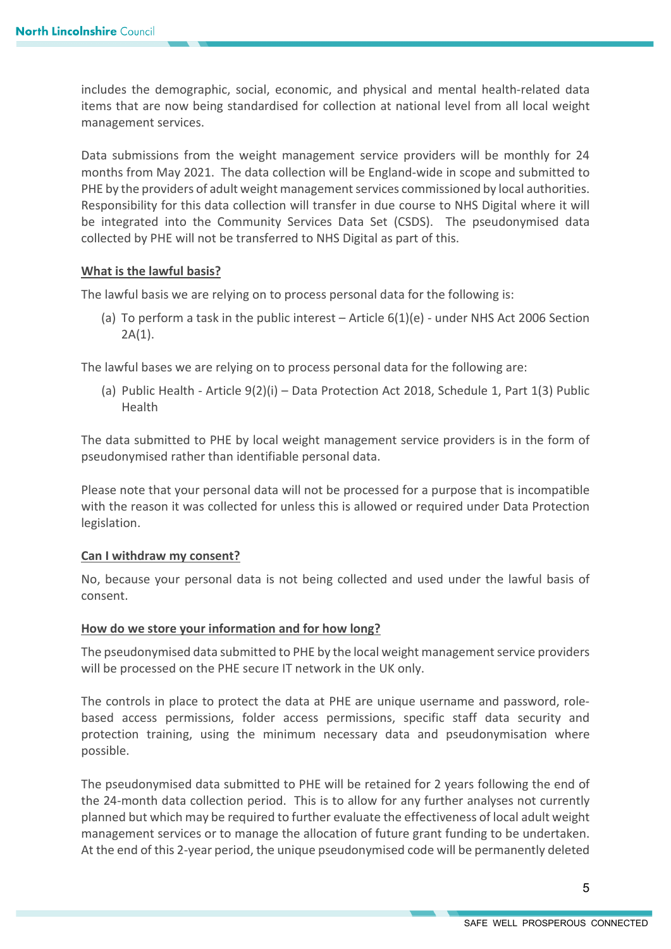includes the demographic, social, economic, and physical and mental health-related data items that are now being standardised for collection at national level from all local weight management services.

Data submissions from the weight management service providers will be monthly for 24 months from May 2021. The data collection will be England-wide in scope and submitted to PHE by the providers of adult weight management services commissioned by local authorities. Responsibility for this data collection will transfer in due course to NHS Digital where it will be integrated into the Community Services Data Set (CSDS). The pseudonymised data collected by PHE will not be transferred to NHS Digital as part of this.

### **What is the lawful basis?**

The lawful basis we are relying on to process personal data for the following is:

(a) To perform a task in the public interest – Article  $6(1)(e)$  - under NHS Act 2006 Section  $2A(1)$ .

The lawful bases we are relying on to process personal data for the following are:

(a) Public Health - Article 9(2)(i) – Data Protection Act 2018, Schedule 1, Part 1(3) Public Health

The data submitted to PHE by local weight management service providers is in the form of pseudonymised rather than identifiable personal data.

Please note that your personal data will not be processed for a purpose that is incompatible with the reason it was collected for unless this is allowed or required under Data Protection legislation.

#### **Can I withdraw my consent?**

No, because your personal data is not being collected and used under the lawful basis of consent.

#### **How do we store your information and for how long?**

The pseudonymised data submitted to PHE by the local weight management service providers will be processed on the PHE secure IT network in the UK only.

The controls in place to protect the data at PHE are unique username and password, rolebased access permissions, folder access permissions, specific staff data security and protection training, using the minimum necessary data and pseudonymisation where possible.

The pseudonymised data submitted to PHE will be retained for 2 years following the end of the 24-month data collection period. This is to allow for any further analyses not currently planned but which may be required to further evaluate the effectiveness of local adult weight management services or to manage the allocation of future grant funding to be undertaken. At the end of this 2-year period, the unique pseudonymised code will be permanently deleted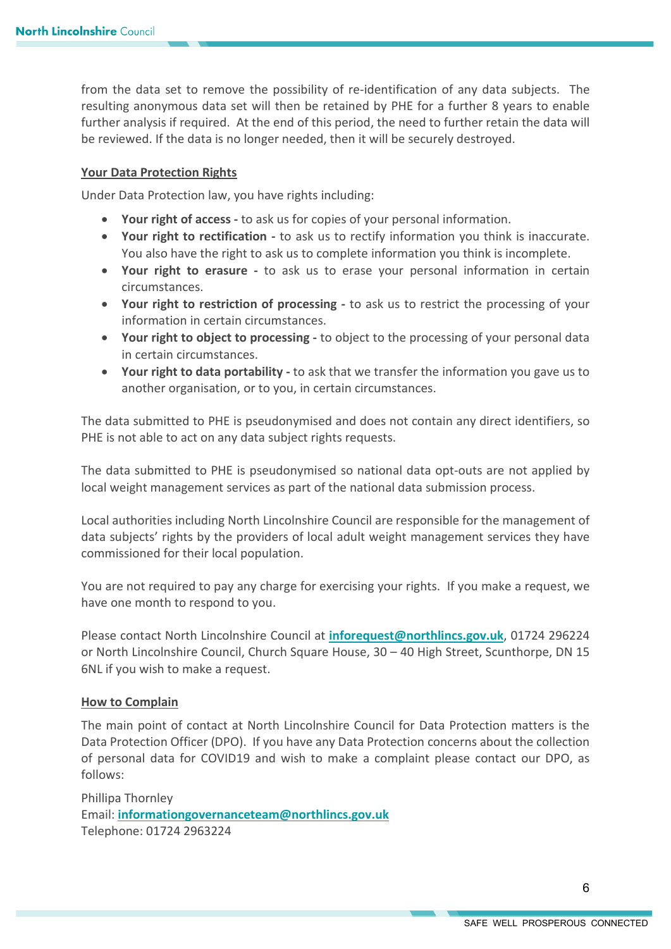from the data set to remove the possibility of re-identification of any data subjects. The resulting anonymous data set will then be retained by PHE for a further 8 years to enable further analysis if required. At the end of this period, the need to further retain the data will be reviewed. If the data is no longer needed, then it will be securely destroyed.

#### **Your Data Protection Rights**

Under Data Protection law, you have rights including:

- **Your right of access** to ask us for copies of your personal information.
- **Your right to rectification -** to ask us to rectify information you think is inaccurate. You also have the right to ask us to complete information you think is incomplete.
- **Your right to erasure -** to ask us to erase your personal information in certain circumstances.
- **Your right to restriction of processing -** to ask us to restrict the processing of your information in certain circumstances.
- **Your right to object to processing -** to object to the processing of your personal data in certain circumstances.
- **Your right to data portability** to ask that we transfer the information you gave us to another organisation, or to you, in certain circumstances.

The data submitted to PHE is pseudonymised and does not contain any direct identifiers, so PHE is not able to act on any data subject rights requests.

The data submitted to PHE is pseudonymised so national data opt-outs are not applied by local weight management services as part of the national data submission process.

Local authorities including North Lincolnshire Council are responsible for the management of data subjects' rights by the providers of local adult weight management services they have commissioned for their local population.

You are not required to pay any charge for exercising your rights. If you make a request, we have one month to respond to you.

Please contact North Lincolnshire Council at **[inforequest@northlincs.gov.uk](mailto:inforequest@northlincs.gov.uk)**, 01724 296224 or North Lincolnshire Council, Church Square House, 30 – 40 High Street, Scunthorpe, DN 15 6NL if you wish to make a request.

#### **How to Complain**

The main point of contact at North Lincolnshire Council for Data Protection matters is the Data Protection Officer (DPO). If you have any Data Protection concerns about the collection of personal data for COVID19 and wish to make a complaint please contact our DPO, as follows:

Phillipa Thornley Email: **[informationgovernanceteam@northlincs.gov.uk](mailto:informationgovernanceteam@northlincs.gov.uk)** Telephone: 01724 2963224